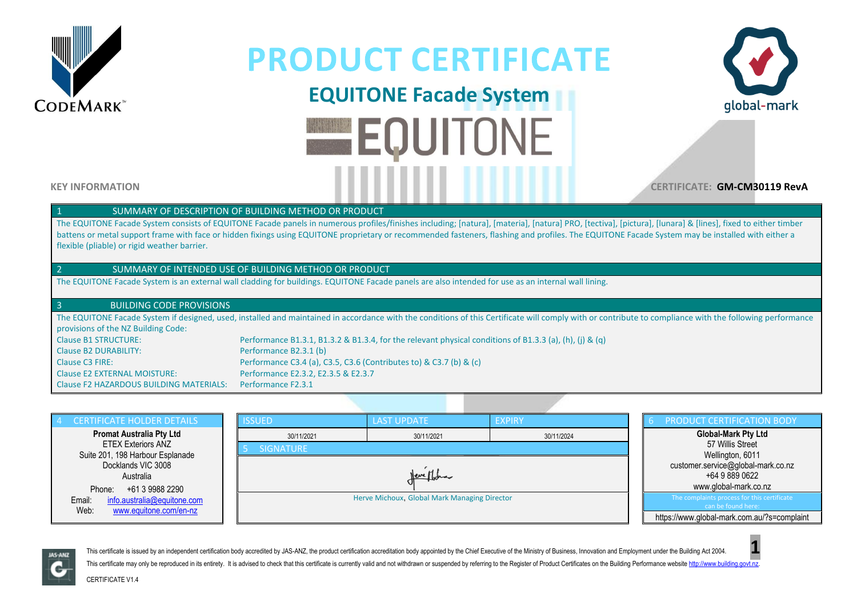

# **EQUITONE Facade System EQUITONE**



**KEY INFORMATION CERTIFICATE: GM-CM30119 RevA**

#### SUMMARY OF DESCRIPTION OF BUILDING METHOD OR PRODUCT

The EQUITONE Facade System consists of EQUITONE Facade panels in numerous profiles/finishes including; [natura], [materia], [natura] PRO, [tectiva], [pictura], [lunara] & [lines], fixed to either timber battens or metal support frame with face or hidden fixings using EQUITONE proprietary or recommended fasteners, flashing and profiles. The EQUITONE Facade System may be installed with either a flexible (pliable) or rigid weather barrier.

#### 2 SUMMARY OF INTENDED USE OF BUILDING METHOD OR PRODUCT

The EQUITONE Facade System is an external wall cladding for buildings. EQUITONE Facade panels are also intended for use as an internal wall lining.

#### 3 BUILDING CODE PROVISIONS

The EQUITONE Facade System if designed, used, installed and maintained in accordance with the conditions of this Certificate will comply with or contribute to compliance with the following performance provisions of the NZ Building Code: Clause B1 STRUCTURE: Performance B1.3.1, B1.3.2 & B1.3.4, for the relevant physical conditions of B1.3.3 (a), (h), (j) & (q)

Clause B2 DURABILITY: Performance B2.3.1 (b) Clause C3 FIRE: Performance C3.4 (a), C3.5, C3.6 (Contributes to) & C3.7 (b) & (c) Clause E2 EXTERNAL MOISTURE: Performance E2.3.2, E2.3.5 & E2.3.7 Clause F2 HAZARDOUS BUILDING MATERIALS: Performance F2.3.1





This certificate is issued by an independent certification body accredited by JAS-ANZ, the product certification accreditation body appointed by the Chief Executive of the Ministry of Business, Innovation and Employment un This certificate may only be reproduced in its entirety. It is advised to check that this certificate is currently valid and not withdrawn or suspended by referring to the Register of Product Certificates on the Building P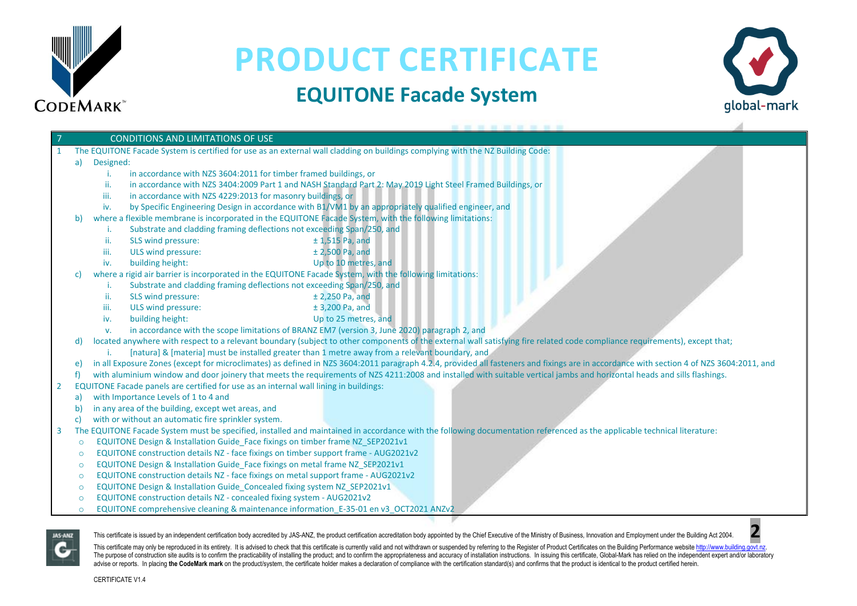

### **EQUITONE Facade System**



#### 7 CONDITIONS AND LIMITATIONS OF USE 1 The EQUITONE Facade System is certified for use as an external wall cladding on buildings complying with the NZ Building Code: a) Designed:

- i. in accordance with NZS 3604:2011 for timber framed buildings, or
- ii. in accordance with NZS 3404:2009 Part 1 and NASH Standard Part 2: May 2019 Light Steel Framed Buildings, or
- iii. in accordance with NZS 4229:2013 for masonry buildings, or
- iv. by Specific Engineering Design in accordance with B1/VM1 by an appropriately qualified engineer, and
- b) where a flexible membrane is incorporated in the EQUITONE Facade System, with the following limitations:
	- i. Substrate and cladding framing deflections not exceeding Span/250, and
	- ii. SLS wind pressure:  $\pm$  1.515 Pa, and
	- iii. ULS wind pressure:  $\pm 2.500$  Pa, and
	- iv. building height: Up to 10 metres, and
- c) where a rigid air barrier is incorporated in the EQUITONE Facade System, with the following limitations:
	- i. Substrate and cladding framing deflections not exceeding Span/250, and
	- ii. SLS wind pressure:  $\pm 2,250$  Pa, and
	- iii. ULS wind pressure:  $\pm$  3,200 Pa, and
	- iv. building height: Up to 25 metres, and
	- v. in accordance with the scope limitations of BRANZ EM7 (version 3, June 2020) paragraph 2, and

d) located anywhere with respect to a relevant boundary (subject to other components of the external wall satisfying fire related code compliance requirements), except that;

- i. [natura] & [materia] must be installed greater than 1 metre away from a relevant boundary, and
- e) in all Exposure Zones (except for microclimates) as defined in NZS 3604:2011 paragraph 4.2.4, provided all fasteners and fixings are in accordance with section 4 of NZS 3604:2011, and
- f) with aluminium window and door joinery that meets the requirements of NZS 4211:2008 and installed with suitable vertical jambs and horizontal heads and sills flashings.
- 2 EQUITONE Facade panels are certified for use as an internal wall lining in buildings:
	- a) with Importance Levels of 1 to 4 and
	- b) in any area of the building, except wet areas, and
	- c) with or without an automatic fire sprinkler system.
- 3 The EQUITONE Facade System must be specified, installed and maintained in accordance with the following documentation referenced as the applicable technical literature:
	- o EQUITONE Design & Installation Guide\_Face fixings on timber frame NZ\_SEP2021v1
	- o EQUITONE construction details NZ face fixings on timber support frame AUG2021v2
	- o EQUITONE Design & Installation Guide\_Face fixings on metal frame NZ\_SEP2021v1
	- o EQUITONE construction details NZ face fixings on metal support frame AUG2021v2
	- o EQUITONE Design & Installation Guide\_Concealed fixing system NZ\_SEP2021v1
	- o EQUITONE construction details NZ concealed fixing system AUG2021v2
	- o EQUITONE comprehensive cleaning & maintenance information\_E-35-01 en v3\_OCT2021 ANZv2



This certificate is issued by an independent certification body accredited by JAS-ANZ, the product certification accreditation body appointed by the Chief Executive of the Ministry of Business. Innovation and Employment un

This certificate may only be reproduced in its entirety. It is advised to check that this certificate is currently valid and not withdrawn or suspended by referring to the Register of Product Certificates on the Building P The purpose of construction site audits is to confirm the practicability of installing the product: and to confirm the appropriateness and accuracy of installation instructions. In issuing this certificate. Global-Mark has advise or reports. In placing the CodeMark mark on the product/system, the certificate holder makes a declaration of compliance with the certification standard(s) and confirms that the product is identical to the product c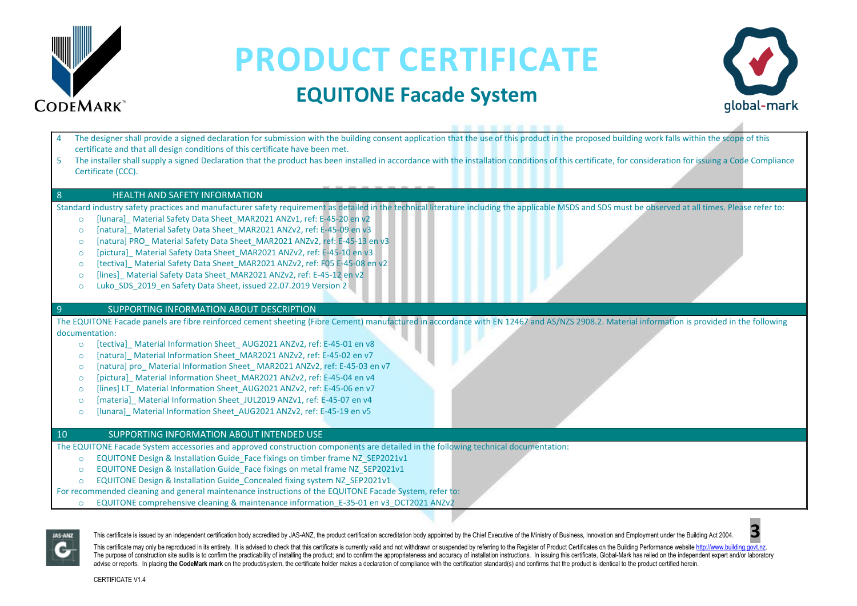

### **EQUITONE Facade System**



| certificate and that all design conditions of this certificate have been met.<br>5<br>Certificate (CCC).                                                                                                                                                                                                                                                                                                                                                                                                                                                                                                                             | The designer shall provide a signed declaration for submission with the building consent application that the use of this product in the proposed building work falls within the scope of this<br>The installer shall supply a signed Declaration that the product has been installed in accordance with the installation conditions of this certificate, for consideration for issuing a Code Compliance |
|--------------------------------------------------------------------------------------------------------------------------------------------------------------------------------------------------------------------------------------------------------------------------------------------------------------------------------------------------------------------------------------------------------------------------------------------------------------------------------------------------------------------------------------------------------------------------------------------------------------------------------------|-----------------------------------------------------------------------------------------------------------------------------------------------------------------------------------------------------------------------------------------------------------------------------------------------------------------------------------------------------------------------------------------------------------|
| <b>HEALTH AND SAFETY INFORMATION</b><br>8                                                                                                                                                                                                                                                                                                                                                                                                                                                                                                                                                                                            |                                                                                                                                                                                                                                                                                                                                                                                                           |
| [lunara] Material Safety Data Sheet_MAR2021 ANZv1, ref: E-45-20 en v2<br>$\circ$<br>[natura] Material Safety Data Sheet MAR2021 ANZv2, ref: E-45-09 en v3<br>$\Omega$<br>[natura] PRO_ Material Safety Data Sheet_MAR2021 ANZv2, ref: E-45-13 en v3<br>$\circ$<br>[pictura] Material Safety Data Sheet MAR2021 ANZv2, ref: E-45-10 en v3<br>$\circ$<br>[tectiva] Material Safety Data Sheet MAR2021 ANZv2, ref: F05 E-45-08 en v2<br>$\circ$<br>[lines] Material Safety Data Sheet MAR2021 ANZv2, ref: E-45-12 en v2<br>$\circ$<br>Luko SDS 2019 en Safety Data Sheet, issued 22.07.2019 Version 2<br>$\circ$                        | Standard industry safety practices and manufacturer safety requirement as detailed in the technical literature including the applicable MSDS and SDS must be observed at all times. Please refer to:                                                                                                                                                                                                      |
| SUPPORTING INFORMATION ABOUT DESCRIPTION<br>$\overline{9}$                                                                                                                                                                                                                                                                                                                                                                                                                                                                                                                                                                           |                                                                                                                                                                                                                                                                                                                                                                                                           |
| documentation:<br>[tectiva] Material Information Sheet AUG2021 ANZv2, ref: E-45-01 en v8<br>$\circ$<br>[natura] Material Information Sheet MAR2021 ANZv2, ref: E-45-02 en v7<br>$\circ$<br>[natura] pro Material Information Sheet MAR2021 ANZv2, ref: E-45-03 en v7<br>$\circ$<br>[pictura] Material Information Sheet MAR2021 ANZv2, ref: E-45-04 en v4<br>$\circ$<br>[lines] LT Material Information Sheet AUG2021 ANZv2, ref: E-45-06 en v7<br>$\circ$<br>[materia]_Material Information Sheet_JUL2019 ANZv1, ref: E-45-07 en v4<br>$\circ$<br>[lunara] Material Information Sheet AUG2021 ANZv2, ref: E-45-19 en v5<br>$\Omega$ | The EQUITONE Facade panels are fibre reinforced cement sheeting (Fibre Cement) manufactured in accordance with EN 12467 and AS/NZS 2908.2. Material information is provided in the following                                                                                                                                                                                                              |
| 10 <sup>°</sup><br>SUPPORTING INFORMATION ABOUT INTENDED USE                                                                                                                                                                                                                                                                                                                                                                                                                                                                                                                                                                         |                                                                                                                                                                                                                                                                                                                                                                                                           |
| EQUITONE Design & Installation Guide Face fixings on timber frame NZ SEP2021v1<br>$\circ$<br>EQUITONE Design & Installation Guide_Face fixings on metal frame NZ_SEP2021v1<br>$\circ$<br>EQUITONE Design & Installation Guide Concealed fixing system NZ SEP2021v1<br>$\circ$<br>For recommended cleaning and general maintenance instructions of the EQUITONE Facade System, refer to:                                                                                                                                                                                                                                              | The EQUITONE Facade System accessories and approved construction components are detailed in the following technical documentation:                                                                                                                                                                                                                                                                        |

o EQUITONE comprehensive cleaning & maintenance information\_E-35-01 en v3\_OCT2021 ANZv2



This certificate is issued by an independent certification body accredited by JAS-ANZ, the product certification accreditation body appointed by the Chief Executive of the Ministry of Business, Innovation and Employment un

This certificate may only be reproduced in its entirety. It is advised to check that this certificate is currently valid and not withdrawn or suspended by referring to the Register of Product Certificates on the Building P The purpose of construction site audits is to confirm the practicability of installing the product; and to confirm the appropriateness and accuracy of installation instructions. In issuing this certificate, Global-Mark has advise or reports. In placing the CodeMark mark on the product/system, the certificate holder makes a declaration of compliance with the certification standard(s) and confirms that the product is identical to the product c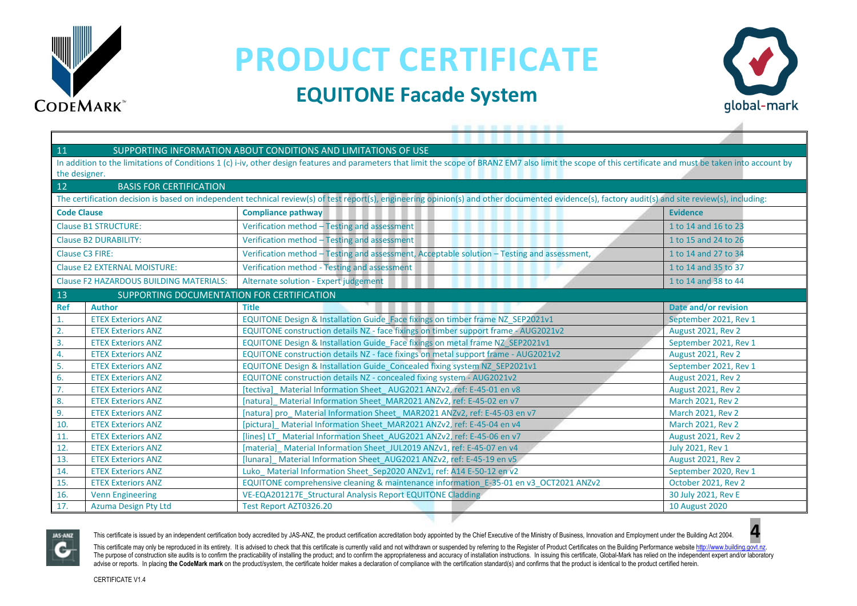

### **EQUITONE Facade System**



| 11<br>SUPPORTING INFORMATION ABOUT CONDITIONS AND LIMITATIONS OF USE                                                                                                                                       |                                                |                                                                                             |                           |  |  |  |  |
|------------------------------------------------------------------------------------------------------------------------------------------------------------------------------------------------------------|------------------------------------------------|---------------------------------------------------------------------------------------------|---------------------------|--|--|--|--|
| In addition to the limitations of Conditions 1 (c) i-iv, other design features and parameters that limit the scope of BRANZ EM7 also limit the scope of this certificate and must be taken into account by |                                                |                                                                                             |                           |  |  |  |  |
|                                                                                                                                                                                                            | the designer.                                  |                                                                                             |                           |  |  |  |  |
| 12                                                                                                                                                                                                         | <b>BASIS FOR CERTIFICATION</b>                 |                                                                                             |                           |  |  |  |  |
| The certification decision is based on independent technical review(s) of test report(s), engineering opinion(s) and other documented evidence(s), factory audit(s) and site review(s), including:         |                                                |                                                                                             |                           |  |  |  |  |
| <b>Code Clause</b>                                                                                                                                                                                         |                                                | <b>Compliance pathway</b>                                                                   | <b>Evidence</b>           |  |  |  |  |
| <b>Clause B1 STRUCTURE:</b>                                                                                                                                                                                |                                                | Verification method - Testing and assessment                                                | 1 to 14 and 16 to 23      |  |  |  |  |
| <b>Clause B2 DURABILITY:</b>                                                                                                                                                                               |                                                | Verification method - Testing and assessment                                                | 1 to 15 and 24 to 26      |  |  |  |  |
| Clause C3 FIRE:                                                                                                                                                                                            |                                                | Verification method - Testing and assessment, Acceptable solution - Testing and assessment, | 1 to 14 and 27 to 34      |  |  |  |  |
|                                                                                                                                                                                                            | <b>Clause E2 EXTERNAL MOISTURE:</b>            | Verification method - Testing and assessment                                                | 1 to 14 and 35 to 37      |  |  |  |  |
|                                                                                                                                                                                                            | <b>Clause F2 HAZARDOUS BUILDING MATERIALS:</b> | Alternate solution - Expert judgement                                                       | 1 to 14 and 38 to 44      |  |  |  |  |
| 13                                                                                                                                                                                                         | SUPPORTING DOCUMENTATION FOR CERTIFICATION     |                                                                                             |                           |  |  |  |  |
| <b>Ref</b>                                                                                                                                                                                                 | <b>Author</b>                                  | <b>Title</b>                                                                                | Date and/or revision      |  |  |  |  |
| 1.                                                                                                                                                                                                         | <b>ETEX Exteriors ANZ</b>                      | EQUITONE Design & Installation Guide Face fixings on timber frame NZ SEP2021v1              | September 2021, Rev 1     |  |  |  |  |
| 2.                                                                                                                                                                                                         | <b>ETEX Exteriors ANZ</b>                      | EQUITONE construction details NZ - face fixings on timber support frame - AUG2021v2         | <b>August 2021, Rev 2</b> |  |  |  |  |
| 3.                                                                                                                                                                                                         | <b>ETEX Exteriors ANZ</b>                      | EQUITONE Design & Installation Guide_Face fixings on metal frame NZ_SEP2021v1               | September 2021, Rev 1     |  |  |  |  |
| 4.                                                                                                                                                                                                         | <b>ETEX Exteriors ANZ</b>                      | EQUITONE construction details NZ - face fixings on metal support frame - AUG2021v2          | <b>August 2021, Rev 2</b> |  |  |  |  |
| 5.                                                                                                                                                                                                         | <b>ETEX Exteriors ANZ</b>                      | EQUITONE Design & Installation Guide_Concealed fixing system NZ_SEP2021v1                   | September 2021, Rev 1     |  |  |  |  |
| 6.                                                                                                                                                                                                         | <b>ETEX Exteriors ANZ</b>                      | EQUITONE construction details NZ - concealed fixing system - AUG2021v2                      | <b>August 2021, Rev 2</b> |  |  |  |  |
| 7.                                                                                                                                                                                                         | <b>ETEX Exteriors ANZ</b>                      | [tectiva] Material Information Sheet AUG2021 ANZv2, ref: E-45-01 en v8                      | <b>August 2021, Rev 2</b> |  |  |  |  |
| 8.                                                                                                                                                                                                         | <b>ETEX Exteriors ANZ</b>                      | [natura] Material Information Sheet MAR2021 ANZv2, ref: E-45-02 en v7                       | <b>March 2021, Rev 2</b>  |  |  |  |  |
| 9.                                                                                                                                                                                                         | <b>ETEX Exteriors ANZ</b>                      | [natura] pro Material Information Sheet MAR2021 ANZv2, ref: E-45-03 en v7                   | <b>March 2021, Rev 2</b>  |  |  |  |  |
| 10.                                                                                                                                                                                                        | <b>ETEX Exteriors ANZ</b>                      | [pictura] Material Information Sheet MAR2021 ANZv2, ref: E-45-04 en v4                      | March 2021, Rev 2         |  |  |  |  |
| 11.                                                                                                                                                                                                        | <b>ETEX Exteriors ANZ</b>                      | [lines] LT Material Information Sheet AUG2021 ANZv2, ref: E-45-06 en v7                     | <b>August 2021, Rev 2</b> |  |  |  |  |
| 12.                                                                                                                                                                                                        | <b>ETEX Exteriors ANZ</b>                      | [materia] Material Information Sheet JUL2019 ANZv1, ref: E-45-07 en v4                      | July 2021, Rev 1          |  |  |  |  |
| 13.                                                                                                                                                                                                        | <b>ETEX Exteriors ANZ</b>                      | [lunara] Material Information Sheet AUG2021 ANZv2, ref: E-45-19 en v5                       | <b>August 2021, Rev 2</b> |  |  |  |  |
| 14.                                                                                                                                                                                                        | <b>ETEX Exteriors ANZ</b>                      | Luko Material Information Sheet Sep2020 ANZv1, ref: A14 E-50-12 en v2                       | September 2020, Rev 1     |  |  |  |  |
| 15.                                                                                                                                                                                                        | <b>ETEX Exteriors ANZ</b>                      | EQUITONE comprehensive cleaning & maintenance information E-35-01 en v3 OCT2021 ANZv2       | October 2021, Rev 2       |  |  |  |  |
| 16.                                                                                                                                                                                                        | <b>Venn Engineering</b>                        | VE-EQA201217E_Structural Analysis Report EQUITONE Cladding                                  | 30 July 2021, Rev E       |  |  |  |  |
| 17.                                                                                                                                                                                                        | <b>Azuma Design Pty Ltd</b>                    | Test Report AZT0326.20                                                                      | 10 August 2020            |  |  |  |  |



This certificate is issued by an independent certification body accredited by JAS-ANZ, the product certification accreditation body appointed by the Chief Executive of the Ministry of Business, Innovation and Employment un

This certificate may only be reproduced in its entirety. It is advised to check that this certificate is currently valid and not withdrawn or suspended by referring to the Register of Product Certificates on the Building P The purpose of construction site audits is to confirm the practicability of installing the product; and to confirm the appropriateness and accuracy of installation instructions. In issuing this certificate, Global-Mark has advise or reports. In placing the CodeMark mark on the product/system, the certificate holder makes a declaration of compliance with the certification standard(s) and confirms that the product is identical to the product c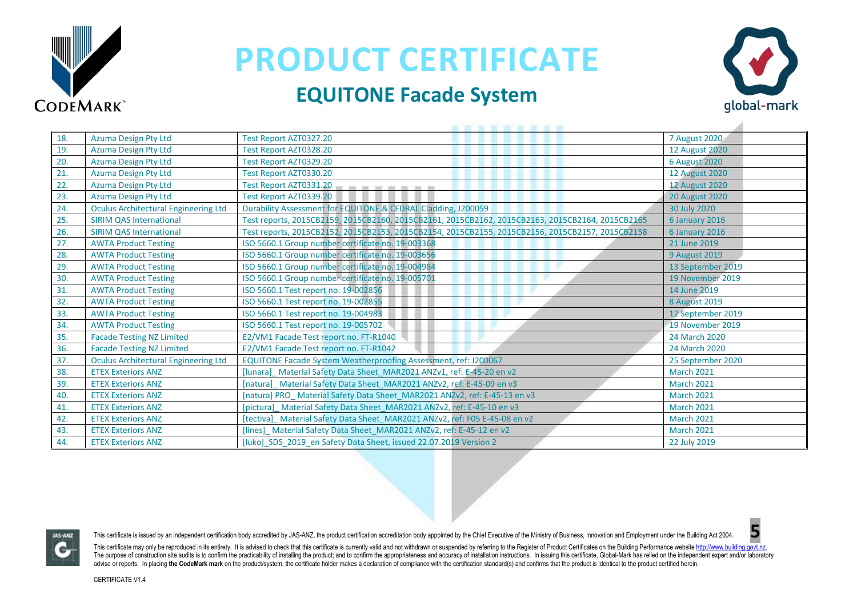

### **EQUITONE Facade System**



| 18. | <b>Azuma Design Pty Ltd</b>                 | Test Report AZT0327.20                                                                           | 7 August 2020         |
|-----|---------------------------------------------|--------------------------------------------------------------------------------------------------|-----------------------|
| 19. | Azuma Design Pty Ltd                        | Test Report AZT0328.20                                                                           | <b>12 August 2020</b> |
| 20. | Azuma Design Pty Ltd                        | Test Report AZT0329.20                                                                           | <b>6 August 2020</b>  |
| 21. | <b>Azuma Design Pty Ltd</b>                 | Test Report AZT0330.20                                                                           | <b>12 August 2020</b> |
| 22. | <b>Azuma Design Pty Ltd</b>                 | Test Report AZT0331.20<br>and her less and and an                                                | <b>12 August 2020</b> |
| 23. | Azuma Design Pty Ltd                        | Test Report AZT0339.20                                                                           | <b>20 August 2020</b> |
| 24. | <b>Oculus Architectural Engineering Ltd</b> | Durability Assessment for EQUITONE & CEDRAL Cladding, J200059                                    | 30 July 2020          |
| 25. | <b>SIRIM QAS International</b>              | Test reports, 2015CB2159, 2015CB2160, 2015CB2161, 2015CB2162, 2015CB2163, 2015CB2164, 2015CB2165 | 6 January 2016        |
| 26. | <b>SIRIM QAS International</b>              | Test reports, 2015CB2152, 2015CB2153, 2015CB2154, 2015CB2155, 2015CB2156, 2015CB2157, 2015CB2158 | 6 January 2016        |
| 27. | <b>AWTA Product Testing</b>                 | ISO 5660.1 Group number certificate no. 19-003368                                                | 21 June 2019          |
| 28. | <b>AWTA Product Testing</b>                 | ISO 5660.1 Group number certificate no. 19-003656                                                | 9 August 2019         |
| 29. | <b>AWTA Product Testing</b>                 | ISO 5660.1 Group number certificate no. 19-004984                                                | 13 September 2019     |
| 30. | <b>AWTA Product Testing</b>                 | ISO 5660.1 Group number certificate no. 19-005701                                                | 19 November 2019      |
| 31. | <b>AWTA Product Testing</b>                 | ISO 5660.1 Test report no. 19-002856                                                             | 14 June 2019          |
| 32. | <b>AWTA Product Testing</b>                 | ISO 5660.1 Test report no. 19-002855                                                             | 8 August 2019         |
| 33. | <b>AWTA Product Testing</b>                 | ISO 5660.1 Test report no. 19-004983                                                             | 12 September 2019     |
| 34. | <b>AWTA Product Testing</b>                 | ISO 5660.1 Test report no. 19-005702                                                             | 19 November 2019      |
| 35. | <b>Facade Testing NZ Limited</b>            | E2/VM1 Facade Test report no. FT-R1040                                                           | 24 March 2020         |
| 36. | <b>Facade Testing NZ Limited</b>            | E2/VM1 Facade Test report no. FT-R1042                                                           | 24 March 2020         |
| 37. | <b>Oculus Architectural Engineering Ltd</b> | EQUITONE Facade System Weatherproofing Assessment, ref: J200067                                  | 25 September 2020     |
| 38. | <b>ETEX Exteriors ANZ</b>                   | [lunara] Material Safety Data Sheet_MAR2021 ANZv1, ref: E-45-20 en v2                            | <b>March 2021</b>     |
| 39. | <b>ETEX Exteriors ANZ</b>                   | [natura] Material Safety Data Sheet MAR2021 ANZv2, ref: E-45-09 en v3                            | <b>March 2021</b>     |
| 40. | <b>ETEX Exteriors ANZ</b>                   | [natura] PRO_ Material Safety Data Sheet_MAR2021 ANZv2, ref: E-45-13 en v3                       | <b>March 2021</b>     |
| 41. | <b>ETEX Exteriors ANZ</b>                   | [pictura]_Material Safety Data Sheet_MAR2021 ANZv2, ref: E-45-10 en v3                           | <b>March 2021</b>     |
| 42. | <b>ETEX Exteriors ANZ</b>                   | [tectiva] Material Safety Data Sheet MAR2021 ANZv2, ref: F05 E-45-08 en v2                       | <b>March 2021</b>     |
| 43. | <b>ETEX Exteriors ANZ</b>                   | [lines] Material Safety Data Sheet_MAR2021 ANZv2, ref: E-45-12 en v2                             | <b>March 2021</b>     |
| 44. | <b>ETEX Exteriors ANZ</b>                   | [luko] SDS 2019 en Safety Data Sheet, issued 22.07.2019 Version 2                                | 22 July 2019          |



This certificate is issued by an independent certification body accredited by JAS-ANZ, the product certification accreditation body appointed by the Chief Executive of the Ministry of Business, Innovation and Employment un

This certificate may only be reproduced in its entirety. It is advised to check that this certificate is currently valid and not withdrawn or suspended by referring to the Register of Product Certificates on the Building P The purpose of construction site audits is to confirm the practicability of installing the product; and to confirm the appropriateness and accuracy of installation instructions. In issuing this certificate, Global-Mark has advise or reports. In placing the CodeMark mark on the product/system, the certificate holder makes a declaration of compliance with the certification standard(s) and confirms that the product is identical to the product c